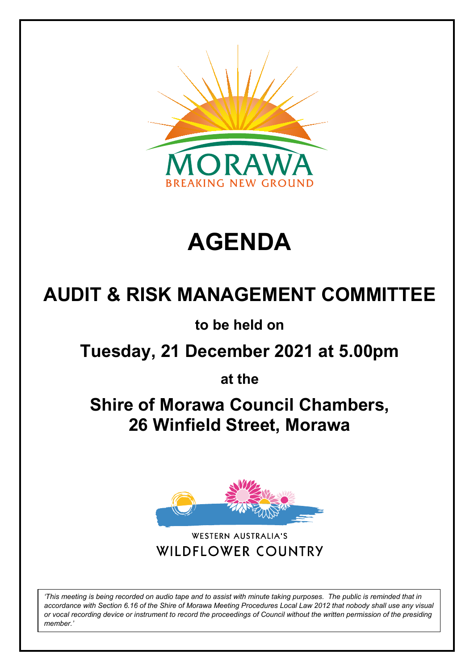

# **AGENDA**

# **AUDIT & RISK MANAGEMENT COMMITTEE**

**to be held on**

**Tuesday, 21 December 2021 at 5.00pm**

**at the**

**Shire of Morawa Council Chambers, 26 Winfield Street, Morawa**



**WESTERN AUSTRALIA'S WILDFLOWER COUNTRY** 

*'This meeting is being recorded on audio tape and to assist with minute taking purposes. The public is reminded that in accordance with Section 6.16 of the Shire of Morawa Meeting Procedures Local Law 2012 that nobody shall use any visual or vocal recording device or instrument to record the proceedings of Council without the written permission of the presiding member.'*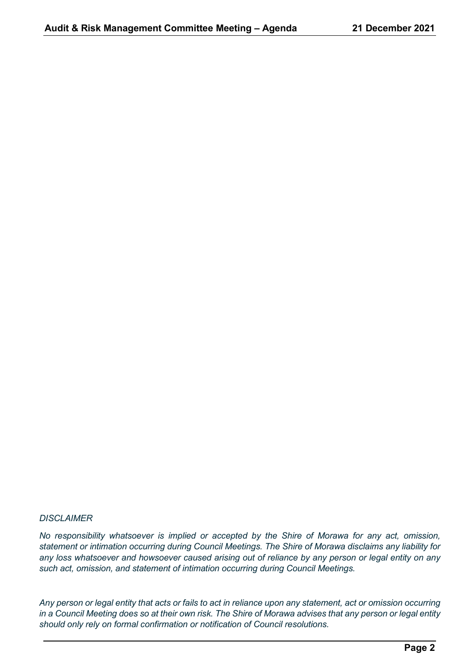#### *DISCLAIMER*

*No responsibility whatsoever is implied or accepted by the Shire of Morawa for any act, omission, statement or intimation occurring during Council Meetings. The Shire of Morawa disclaims any liability for any loss whatsoever and howsoever caused arising out of reliance by any person or legal entity on any such act, omission, and statement of intimation occurring during Council Meetings.*

*Any person or legal entity that acts or fails to act in reliance upon any statement, act or omission occurring in a Council Meeting does so at their own risk. The Shire of Morawa advises that any person or legal entity should only rely on formal confirmation or notification of Council resolutions.*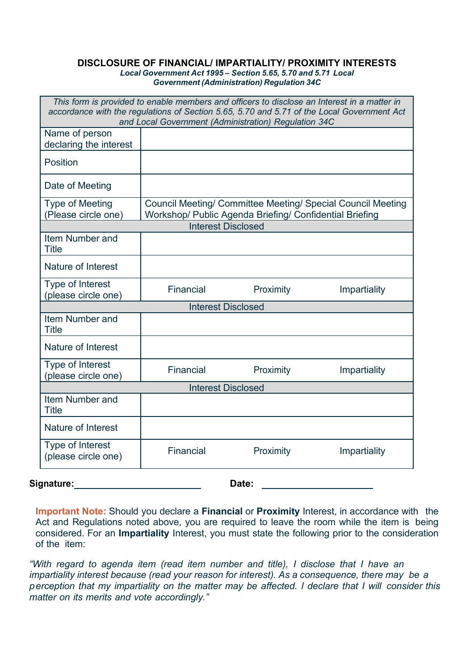#### **DISCLOSURE OF FINANCIAL/ IMPARTIALITY/ PROXIMITY INTERESTS**

*Local Government Act 1995 – Section 5.65, 5.70 and 5.71 Local Government (Administration) Regulation 34C*

| This form is provided to enable members and officers to disclose an Interest in a matter in<br>accordance with the regulations of Section 5.65, 5.70 and 5.71 of the Local Government Act<br>and Local Government (Administration) Regulation 34C |                           |                                                         |                                                             |  |  |  |
|---------------------------------------------------------------------------------------------------------------------------------------------------------------------------------------------------------------------------------------------------|---------------------------|---------------------------------------------------------|-------------------------------------------------------------|--|--|--|
| Name of person<br>declaring the interest                                                                                                                                                                                                          |                           |                                                         |                                                             |  |  |  |
| Position                                                                                                                                                                                                                                          |                           |                                                         |                                                             |  |  |  |
| Date of Meeting                                                                                                                                                                                                                                   |                           |                                                         |                                                             |  |  |  |
| <b>Type of Meeting</b><br>(Please circle one)                                                                                                                                                                                                     |                           | Workshop/ Public Agenda Briefing/ Confidential Briefing | Council Meeting/ Committee Meeting/ Special Council Meeting |  |  |  |
|                                                                                                                                                                                                                                                   | <b>Interest Disclosed</b> |                                                         |                                                             |  |  |  |
| Item Number and<br><b>Title</b>                                                                                                                                                                                                                   |                           |                                                         |                                                             |  |  |  |
| Nature of Interest                                                                                                                                                                                                                                |                           |                                                         |                                                             |  |  |  |
| Type of Interest<br>(please circle one)                                                                                                                                                                                                           | Financial                 | Proximity                                               | Impartiality                                                |  |  |  |
| <b>Interest Disclosed</b>                                                                                                                                                                                                                         |                           |                                                         |                                                             |  |  |  |
| Item Number and<br><b>Title</b>                                                                                                                                                                                                                   |                           |                                                         |                                                             |  |  |  |
| Nature of Interest                                                                                                                                                                                                                                |                           |                                                         |                                                             |  |  |  |
| Type of Interest<br>(please circle one)                                                                                                                                                                                                           | Financial                 | Proximity                                               | Impartiality                                                |  |  |  |
| <b>Interest Disclosed</b>                                                                                                                                                                                                                         |                           |                                                         |                                                             |  |  |  |
| Item Number and<br>Title                                                                                                                                                                                                                          |                           |                                                         |                                                             |  |  |  |
| Nature of Interest                                                                                                                                                                                                                                |                           |                                                         |                                                             |  |  |  |
| Type of Interest<br>(please circle one)                                                                                                                                                                                                           | Financial                 | Proximity                                               | Impartiality                                                |  |  |  |

**Signature: Date:** 

**Important Note:** Should you declare a **Financial** or **Proximity** Interest, in accordance with the Act and Regulations noted above, you are required to leave the room while the item is being considered. For an **Impartiality** Interest, you must state the following prior to the consideration of the item:

*"With regard to agenda item (read item number and title), I disclose that I have an impartiality interest because (read your reason for interest). As a consequence, there may be a perception that my impartiality on the matter may be affected. I declare that I will consider this matter on its merits and vote accordingly."*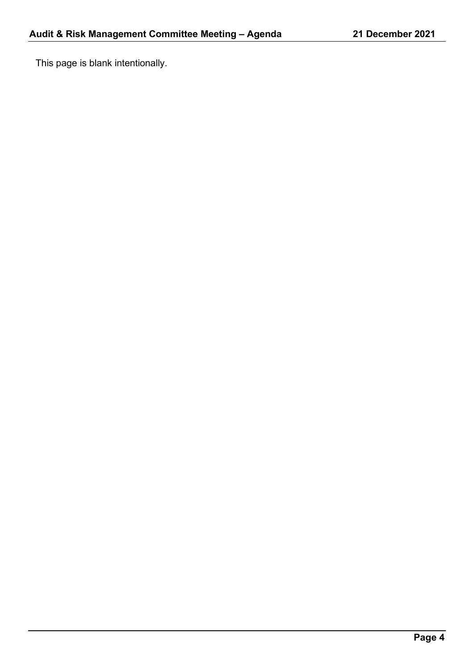This page is blank intentionally.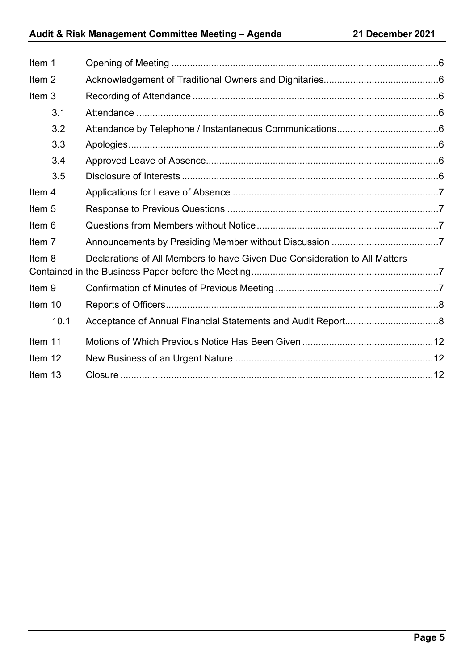| Declarations of All Members to have Given Due Consideration to All Matters |  |
|----------------------------------------------------------------------------|--|
|                                                                            |  |
|                                                                            |  |
|                                                                            |  |
|                                                                            |  |
|                                                                            |  |
|                                                                            |  |
|                                                                            |  |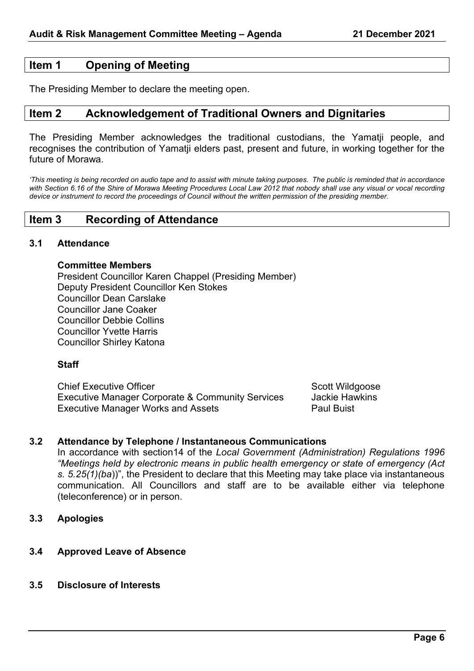#### <span id="page-5-0"></span>**Item 1 Opening of Meeting**

The Presiding Member to declare the meeting open.

#### <span id="page-5-1"></span>**Item 2 Acknowledgement of Traditional Owners and Dignitaries**

The Presiding Member acknowledges the traditional custodians, the Yamatji people, and recognises the contribution of Yamatji elders past, present and future, in working together for the future of Morawa.

*'This meeting is being recorded on audio tape and to assist with minute taking purposes. The public is reminded that in accordance with Section 6.16 of the Shire of Morawa Meeting Procedures Local Law 2012 that nobody shall use any visual or vocal recording device or instrument to record the proceedings of Council without the written permission of the presiding member.*

#### <span id="page-5-2"></span>**Item 3 Recording of Attendance**

#### <span id="page-5-3"></span>**3.1 Attendance**

#### **Committee Members**

President Councillor Karen Chappel (Presiding Member) Deputy President Councillor Ken Stokes Councillor Dean Carslake Councillor Jane Coaker Councillor Debbie Collins Councillor Yvette Harris Councillor Shirley Katona

#### **Staff**

Chief Executive Officer<br>
Executive Manager Corporate & Community Services and Dackie Hawkins Executive Manager Corporate & Community Services Executive Manager Works and Assets **Paul Buist** Paul Buist

#### <span id="page-5-4"></span>**3.2 Attendance by Telephone / Instantaneous Communications**

In accordance with section14 of the *Local Government (Administration) Regulations 1996 "Meetings held by electronic means in public health emergency or state of emergency (Act s. 5.25(1)(ba*))", the President to declare that this Meeting may take place via instantaneous communication. All Councillors and staff are to be available either via telephone (teleconference) or in person.

- <span id="page-5-5"></span>**3.3 Apologies**
- <span id="page-5-6"></span>**3.4 Approved Leave of Absence**
- <span id="page-5-7"></span>**3.5 Disclosure of Interests**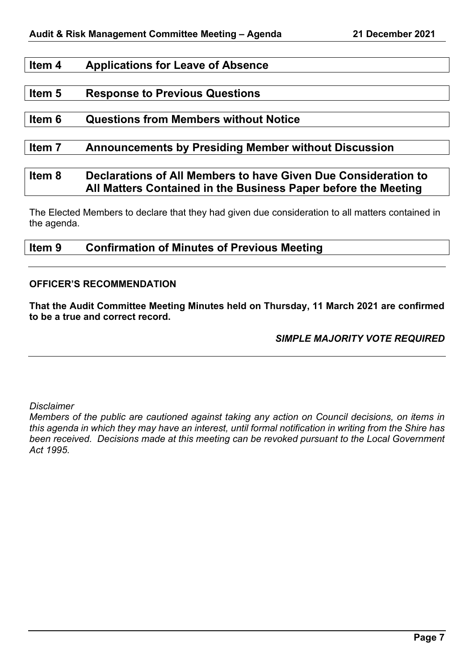#### <span id="page-6-0"></span>**Item 4 Applications for Leave of Absence**

#### <span id="page-6-1"></span>**Item 5 Response to Previous Questions**

#### <span id="page-6-2"></span>**Item 6 Questions from Members without Notice**

#### <span id="page-6-3"></span>**Item 7 Announcements by Presiding Member without Discussion**

#### <span id="page-6-4"></span>**Item 8 Declarations of All Members to have Given Due Consideration to All Matters Contained in the Business Paper before the Meeting**

The Elected Members to declare that they had given due consideration to all matters contained in the agenda.

#### <span id="page-6-5"></span>**Item 9 Confirmation of Minutes of Previous Meeting**

#### **OFFICER'S RECOMMENDATION**

**That the Audit Committee Meeting Minutes held on Thursday, 11 March 2021 are confirmed to be a true and correct record.**

*SIMPLE MAJORITY VOTE REQUIRED*

*Disclaimer*

*Members of the public are cautioned against taking any action on Council decisions, on items in this agenda in which they may have an interest, until formal notification in writing from the Shire has been received. Decisions made at this meeting can be revoked pursuant to the Local Government Act 1995.*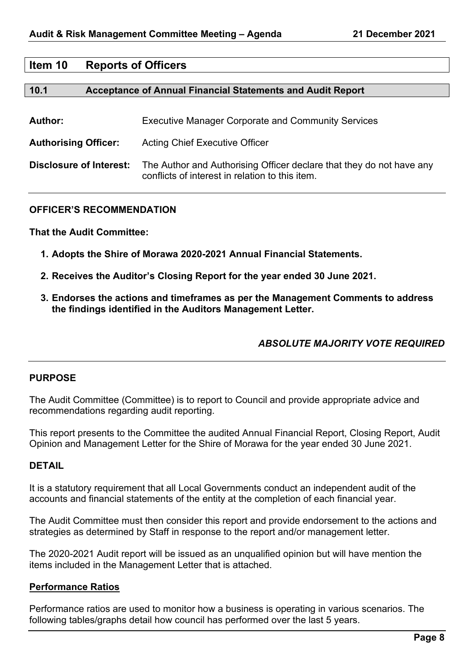<span id="page-7-1"></span><span id="page-7-0"></span>

| Item 10                        | <b>Reports of Officers</b> |                                                                                                                         |
|--------------------------------|----------------------------|-------------------------------------------------------------------------------------------------------------------------|
|                                |                            |                                                                                                                         |
| 10.1                           |                            | <b>Acceptance of Annual Financial Statements and Audit Report</b>                                                       |
|                                |                            |                                                                                                                         |
| Author:                        |                            | <b>Executive Manager Corporate and Community Services</b>                                                               |
| <b>Authorising Officer:</b>    |                            | <b>Acting Chief Executive Officer</b>                                                                                   |
| <b>Disclosure of Interest:</b> |                            | The Author and Authorising Officer declare that they do not have any<br>conflicts of interest in relation to this item. |

#### **OFFICER'S RECOMMENDATION**

**That the Audit Committee:**

- **1. Adopts the Shire of Morawa 2020-2021 Annual Financial Statements.**
- **2. Receives the Auditor's Closing Report for the year ended 30 June 2021.**
- **3. Endorses the actions and timeframes as per the Management Comments to address the findings identified in the Auditors Management Letter.**

#### *ABSOLUTE MAJORITY VOTE REQUIRED*

#### **PURPOSE**

The Audit Committee (Committee) is to report to Council and provide appropriate advice and recommendations regarding audit reporting.

This report presents to the Committee the audited Annual Financial Report, Closing Report, Audit Opinion and Management Letter for the Shire of Morawa for the year ended 30 June 2021.

#### **DETAIL**

It is a statutory requirement that all Local Governments conduct an independent audit of the accounts and financial statements of the entity at the completion of each financial year.

The Audit Committee must then consider this report and provide endorsement to the actions and strategies as determined by Staff in response to the report and/or management letter.

The 2020-2021 Audit report will be issued as an unqualified opinion but will have mention the items included in the Management Letter that is attached.

#### **Performance Ratios**

Performance ratios are used to monitor how a business is operating in various scenarios. The following tables/graphs detail how council has performed over the last 5 years.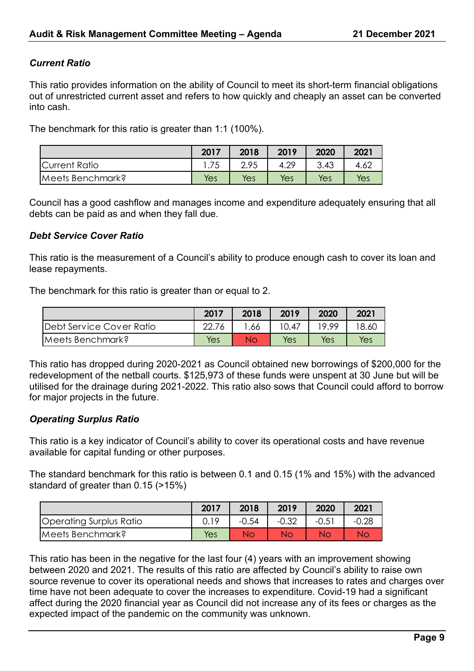#### *Current Ratio*

This ratio provides information on the ability of Council to meet its short-term financial obligations out of unrestricted current asset and refers to how quickly and cheaply an asset can be converted into cash.

The benchmark for this ratio is greater than 1:1 (100%).

|                  | 2017       | 2018       | 2019 | 2020 | 2021 |
|------------------|------------|------------|------|------|------|
| Current Ratio    | l./5       | 2.95       | 4.29 | 3.43 | 4.62 |
| Meets Benchmark? | <b>Yes</b> | <b>Yes</b> | Yes  | Yes  | Yes  |

Council has a good cashflow and manages income and expenditure adequately ensuring that all debts can be paid as and when they fall due.

#### *Debt Service Cover Ratio*

This ratio is the measurement of a Council's ability to produce enough cash to cover its loan and lease repayments.

The benchmark for this ratio is greater than or equal to 2.

|                          | 2017  | 2018 | 2019  | 2020  | 2021  |
|--------------------------|-------|------|-------|-------|-------|
| Debt Service Cover Ratio | 22.76 | .66  | 10.47 | 19 99 | 18.60 |
| Meets Benchmark?         | Yes   | Nο   | Yes   | Yes   | Yes   |

This ratio has dropped during 2020-2021 as Council obtained new borrowings of \$200,000 for the redevelopment of the netball courts. \$125,973 of these funds were unspent at 30 June but will be utilised for the drainage during 2021-2022. This ratio also sows that Council could afford to borrow for major projects in the future.

#### *Operating Surplus Ratio*

This ratio is a key indicator of Council's ability to cover its operational costs and have revenue available for capital funding or other purposes.

The standard benchmark for this ratio is between 0.1 and 0.15 (1% and 15%) with the advanced standard of greater than 0.15 (>15%)

|                         | 2017 | 2018    | 2019    | 2020    | 2021    |
|-------------------------|------|---------|---------|---------|---------|
| Operating Surplus Ratio |      | $-0.54$ | $-0.32$ | $-0.51$ | $-0.28$ |
| Meets Benchmark?        | Yes  | NC      | Νo      |         | NC      |

This ratio has been in the negative for the last four (4) years with an improvement showing between 2020 and 2021. The results of this ratio are affected by Council's ability to raise own source revenue to cover its operational needs and shows that increases to rates and charges over time have not been adequate to cover the increases to expenditure. Covid-19 had a significant affect during the 2020 financial year as Council did not increase any of its fees or charges as the expected impact of the pandemic on the community was unknown.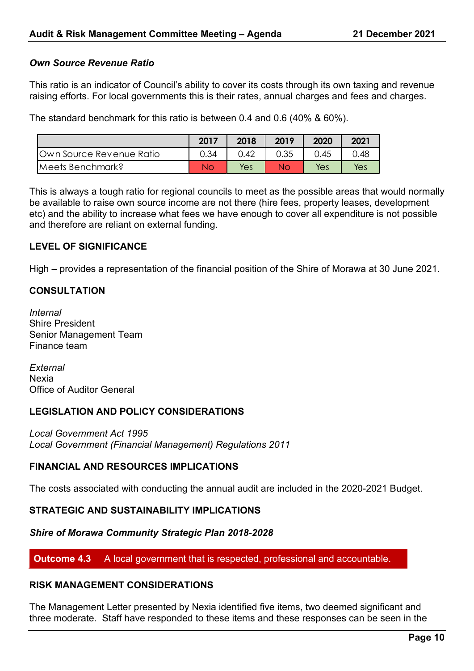#### *Own Source Revenue Ratio*

This ratio is an indicator of Council's ability to cover its costs through its own taxing and revenue raising efforts. For local governments this is their rates, annual charges and fees and charges.

The standard benchmark for this ratio is between 0.4 and 0.6 (40% & 60%).

|                          | 2017 | 2018 | 2019 | 2020 | 2021 |
|--------------------------|------|------|------|------|------|
| Own Source Revenue Ratio | 0.34 | 0.42 |      | 0.45 | 0.48 |
| Meets Benchmark?         |      | Yes  | Nс   | Yes  | Yes  |

This is always a tough ratio for regional councils to meet as the possible areas that would normally be available to raise own source income are not there (hire fees, property leases, development etc) and the ability to increase what fees we have enough to cover all expenditure is not possible and therefore are reliant on external funding.

#### **LEVEL OF SIGNIFICANCE**

High – provides a representation of the financial position of the Shire of Morawa at 30 June 2021.

#### **CONSULTATION**

*Internal* Shire President Senior Management Team Finance team

*External* Nexia Office of Auditor General

#### **LEGISLATION AND POLICY CONSIDERATIONS**

*Local Government Act 1995 Local Government (Financial Management) Regulations 2011*

#### **FINANCIAL AND RESOURCES IMPLICATIONS**

The costs associated with conducting the annual audit are included in the 2020-2021 Budget.

#### **STRATEGIC AND SUSTAINABILITY IMPLICATIONS**

#### *Shire of Morawa Community Strategic Plan 2018-2028*

**Outcome 4.3** A local government that is respected, professional and accountable.

#### **RISK MANAGEMENT CONSIDERATIONS**

The Management Letter presented by Nexia identified five items, two deemed significant and three moderate. Staff have responded to these items and these responses can be seen in the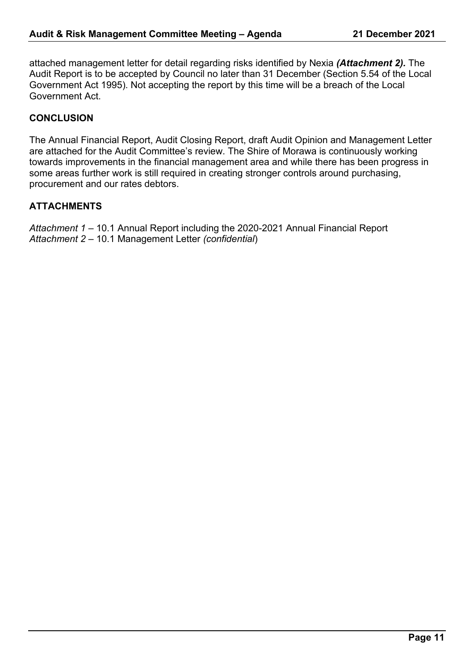attached management letter for detail regarding risks identified by Nexia *(Attachment 2).* The Audit Report is to be accepted by Council no later than 31 December (Section 5.54 of the Local Government Act 1995). Not accepting the report by this time will be a breach of the Local Government Act.

#### **CONCLUSION**

The Annual Financial Report, Audit Closing Report, draft Audit Opinion and Management Letter are attached for the Audit Committee's review. The Shire of Morawa is continuously working towards improvements in the financial management area and while there has been progress in some areas further work is still required in creating stronger controls around purchasing, procurement and our rates debtors.

#### **ATTACHMENTS**

*Attachment 1* – 10.1 Annual Report including the 2020-2021 Annual Financial Report *Attachment 2* – 10.1 Management Letter *(confidential*)